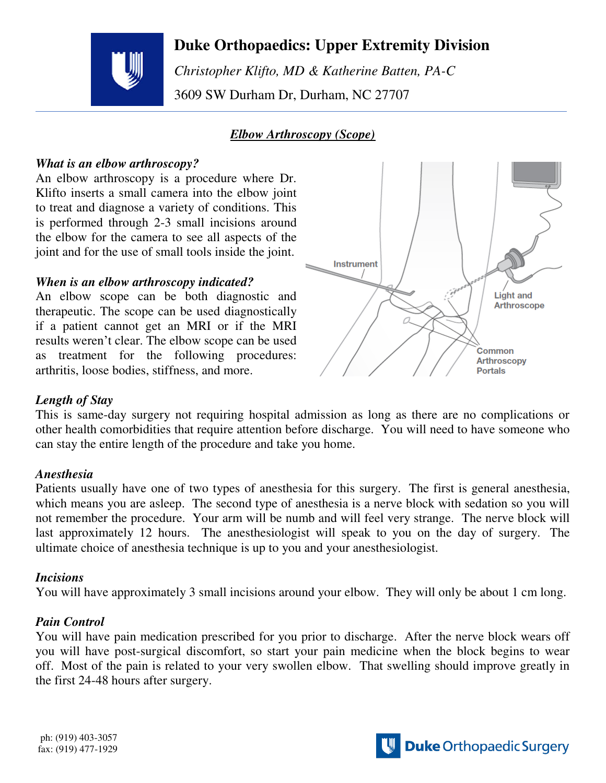# **Duke Orthopaedics: Upper Extremity Division**



 *Christopher Klifto, MD & Katherine Batten, PA-C*  3609 SW Durham Dr, Durham, NC 27707

# *Elbow Arthroscopy (Scope)*

### *What is an elbow arthroscopy?*

An elbow arthroscopy is a procedure where Dr. Klifto inserts a small camera into the elbow joint to treat and diagnose a variety of conditions. This is performed through 2-3 small incisions around the elbow for the camera to see all aspects of the joint and for the use of small tools inside the joint.

### *When is an elbow arthroscopy indicated?*

An elbow scope can be both diagnostic and therapeutic. The scope can be used diagnostically if a patient cannot get an MRI or if the MRI results weren't clear. The elbow scope can be used as treatment for the following procedures: arthritis, loose bodies, stiffness, and more.



## *Length of Stay*

This is same-day surgery not requiring hospital admission as long as there are no complications or other health comorbidities that require attention before discharge. You will need to have someone who can stay the entire length of the procedure and take you home.

## *Anesthesia*

Patients usually have one of two types of anesthesia for this surgery. The first is general anesthesia, which means you are asleep. The second type of anesthesia is a nerve block with sedation so you will not remember the procedure. Your arm will be numb and will feel very strange. The nerve block will last approximately 12 hours. The anesthesiologist will speak to you on the day of surgery. The ultimate choice of anesthesia technique is up to you and your anesthesiologist.

### *Incisions*

You will have approximately 3 small incisions around your elbow. They will only be about 1 cm long.

## *Pain Control*

You will have pain medication prescribed for you prior to discharge. After the nerve block wears off you will have post-surgical discomfort, so start your pain medicine when the block begins to wear off. Most of the pain is related to your very swollen elbow. That swelling should improve greatly in the first 24-48 hours after surgery.

ph: (919) 403-3057 fax: (919) 477-1929